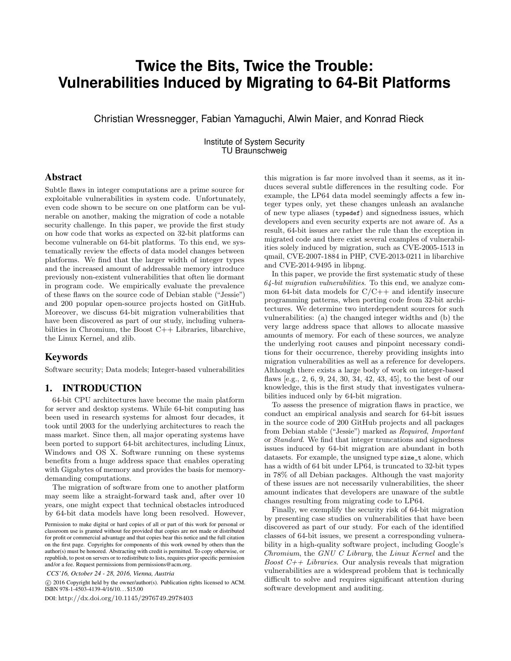# **Twice the Bits, Twice the Trouble: Vulnerabilities Induced by Migrating to 64-Bit Platforms**

Christian Wressnegger, Fabian Yamaguchi, Alwin Maier, and Konrad Rieck

Institute of System Security TU Braunschweig

## Abstract

Subtle flaws in integer computations are a prime source for exploitable vulnerabilities in system code. Unfortunately, even code shown to be secure on one platform can be vulnerable on another, making the migration of code a notable security challenge. In this paper, we provide the first study on how code that works as expected on 32-bit platforms can become vulnerable on 64-bit platforms. To this end, we systematically review the effects of data model changes between platforms. We find that the larger width of integer types and the increased amount of addressable memory introduce previously non-existent vulnerabilities that often lie dormant in program code. We empirically evaluate the prevalence of these flaws on the source code of Debian stable ("Jessie") and 200 popular open-source projects hosted on GitHub. Moreover, we discuss 64-bit migration vulnerabilities that have been discovered as part of our study, including vulnerabilities in Chromium, the Boost C++ Libraries, libarchive, the Linux Kernel, and zlib.

## Keywords

Software security; Data models; Integer-based vulnerabilities

## 1. INTRODUCTION

64-bit CPU architectures have become the main platform for server and desktop systems. While 64-bit computing has been used in research systems for almost four decades, it took until 2003 for the underlying architectures to reach the mass market. Since then, all major operating systems have been ported to support 64-bit architectures, including Linux, Windows and OS X. Software running on these systems benefits from a huge address space that enables operating with Gigabytes of memory and provides the basis for memorydemanding computations.

The migration of software from one to another platform may seem like a straight-forward task and, after over 10 years, one might expect that technical obstacles introduced by 64-bit data models have long been resolved. However,

 c 2016 Copyright held by the owner/author(s). Publication rights licensed to ACM. ISBN 978-1-4503-4139-4/16/10. . . \$15.00

DOI: http://dx.doi.org/10.1145/2976749.2978403

this migration is far more involved than it seems, as it induces several subtle differences in the resulting code. For example, the LP64 data model seemingly affects a few integer types only, yet these changes unleash an avalanche of new type aliases (typedef) and signedness issues, which developers and even security experts are not aware of. As a result, 64-bit issues are rather the rule than the exception in migrated code and there exist several examples of vulnerabilities solely induced by migration, such as CVE-2005-1513 in qmail, CVE-2007-1884 in PHP, CVE-2013-0211 in libarchive and CVE-2014-9495 in libpng.

In this paper, we provide the first systematic study of these  $64$ -bit migration vulnerabilities. To this end, we analyze common 64-bit data models for  $C/C++$  and identify insecure programming patterns, when porting code from 32-bit architectures. We determine two interdependent sources for such vulnerabilities: (a) the changed integer widths and (b) the very large address space that allows to allocate massive amounts of memory. For each of these sources, we analyze the underlying root causes and pinpoint necessary conditions for their occurrence, thereby providing insights into migration vulnerabilities as well as a reference for developers. Although there exists a large body of work on integer-based flaws [e.g., 2, 6, 9, 24, 30, 34, 42, 43, 45], to the best of our knowledge, this is the first study that investigates vulnerabilities induced only by 64-bit migration.

To assess the presence of migration flaws in practice, we conduct an empirical analysis and search for 64-bit issues in the source code of 200 GitHub projects and all packages from Debian stable ("Jessie") marked as Required, Important or Standard. We find that integer truncations and signedness issues induced by 64-bit migration are abundant in both datasets. For example, the unsigned type size\_t alone, which has a width of 64 bit under LP64, is truncated to 32-bit types in 78% of all Debian packages. Although the vast majority of these issues are not necessarily vulnerabilities, the sheer amount indicates that developers are unaware of the subtle changes resulting from migrating code to LP64.

Finally, we exemplify the security risk of 64-bit migration by presenting case studies on vulnerabilities that have been discovered as part of our study. For each of the identified classes of 64-bit issues, we present a corresponding vulnerability in a high-quality software project, including Google's Chromium, the GNU C Library, the Linux Kernel and the Boost  $C++Libraries$ . Our analysis reveals that migration vulnerabilities are a widespread problem that is technically difficult to solve and requires significant attention during software development and auditing.

Permission to make digital or hard copies of all or part of this work for personal or classroom use is granted without fee provided that copies are not made or distributed for profit or commercial advantage and that copies bear this notice and the full citation on the first page. Copyrights for components of this work owned by others than the author(s) must be honored. Abstracting with credit is permitted. To copy otherwise, or republish, to post on servers or to redistribute to lists, requires prior specific permission and/or a fee. Request permissions from permissions@acm.org.

*CCS'16, October 24 - 28, 2016, Vienna, Austria*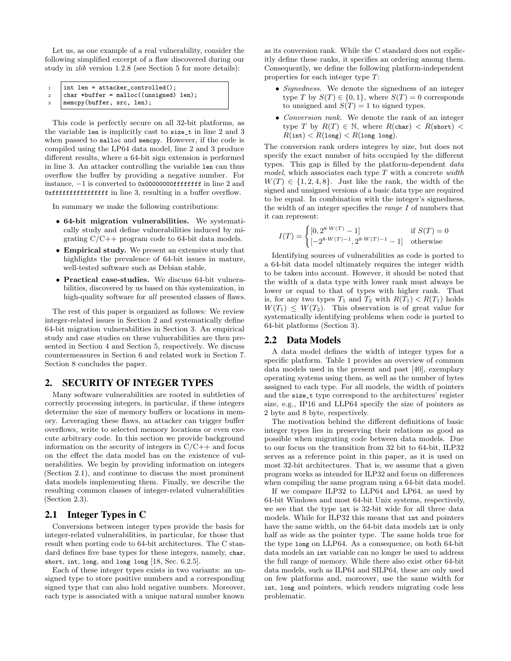Let us, as one example of a real vulnerability, consider the following simplified excerpt of a flaw discovered during our study in *zlib* version 1.2.8 (see Section 5 for more details):

```
1 | int len = attacker_controlled();
```
- 2 char \*buffer = malloc((unsigned) len);
- <sup>3</sup> memcpy(buffer, src, len);

This code is perfectly secure on all 32-bit platforms, as the variable len is implicitly cast to size\_t in line 2 and 3 when passed to malloc and memcpy. However, if the code is compiled using the LP64 data model, line 2 and 3 produce different results, where a 64-bit sign extension is performed in line 3. An attacker controlling the variable len can thus overflow the buffer by providing a negative number. For instance, −1 is converted to 0x00000000ffffffff in line 2 and 0xffffffffffffffff in line 3, resulting in a buffer overflow.

In summary we make the following contributions:

- 64-bit migration vulnerabilities. We systematically study and define vulnerabilities induced by migrating C/C++ program code to 64-bit data models.
- Empirical study. We present an extensive study that highlights the prevalence of 64-bit issues in mature, well-tested software such as Debian stable.
- Practical case-studies. We discuss 64-bit vulnerabilities, discovered by us based on this systemization, in high-quality software for all presented classes of flaws.

The rest of this paper is organized as follows: We review integer-related issues in Section 2 and systematically define 64-bit migration vulnerabilities in Section 3. An empirical study and case studies on these vulnerabilities are then presented in Section 4 and Section 5, respectively. We discuss countermeasures in Section 6 and related work in Section 7. Section 8 concludes the paper.

# 2. SECURITY OF INTEGER TYPES

Many software vulnerabilities are rooted in subtleties of correctly processing integers, in particular, if these integers determine the size of memory buffers or locations in memory. Leveraging these flaws, an attacker can trigger buffer overflows, write to selected memory locations or even execute arbitrary code. In this section we provide background information on the security of integers in  $C/C++$  and focus on the effect the data model has on the existence of vulnerabilities. We begin by providing information on integers (Section 2.1), and continue to discuss the most prominent data models implementing them. Finally, we describe the resulting common classes of integer-related vulnerabilities (Section 2.3).

# 2.1 Integer Types in C

Conversions between integer types provide the basis for integer-related vulnerabilities, in particular, for those that result when porting code to 64-bit architectures. The C standard defines five base types for these integers, namely, char, short, int, long, and long long [18, Sec. 6.2.5].

Each of these integer types exists in two variants: an unsigned type to store positive numbers and a corresponding signed type that can also hold negative numbers. Moreover, each type is associated with a unique natural number known

as its conversion rank. While the C standard does not explicitly define these ranks, it specifies an ordering among them. Consequently, we define the following platform-independent properties for each integer type T:

- *Signedness*. We denote the signedness of an integer type T by  $S(T) \in \{0, 1\}$ , where  $S(T) = 0$  corresponds to unsigned and  $S(T) = 1$  to signed types.
- Conversion rank. We denote the rank of an integer type T by  $R(T) \in \mathbb{N}$ , where  $R(\text{char}) < R(\text{short}) <$  $R(int) < R(long) < R(long$  long).

The conversion rank orders integers by size, but does not specify the exact number of bits occupied by the different types. This gap is filled by the platform-dependent data model, which associates each type  $T$  with a concrete width  $W(T) \in \{1, 2, 4, 8\}$ . Just like the rank, the width of the signed and unsigned versions of a basic data type are required to be equal. In combination with the integer's signedness, the width of an integer specifies the range I of numbers that it can represent:

$$
I(T) = \begin{cases} [0, 2^{8 \cdot W(T)} - 1] & \text{if } S(T) = 0\\ [-2^{8 \cdot W(T) - 1}, 2^{8 \cdot W(T) - 1} - 1] & \text{otherwise} \end{cases}
$$

Identifying sources of vulnerabilities as code is ported to a 64-bit data model ultimately requires the integer width to be taken into account. However, it should be noted that the width of a data type with lower rank must always be lower or equal to that of types with higher rank. That is, for any two types  $T_1$  and  $T_2$  with  $R(T_1) < R(T_1)$  holds  $W(T_1) \leq W(T_2)$ . This observation is of great value for systematically identifying problems when code is ported to 64-bit platforms (Section 3).

# 2.2 Data Models

A data model defines the width of integer types for a specific platform. Table 1 provides an overview of common data models used in the present and past [40], exemplary operating systems using them, as well as the number of bytes assigned to each type. For all models, the width of pointers and the size\_t type correspond to the architectures' register size, e.g., IP16 and LLP64 specify the size of pointers as 2 byte and 8 byte, respectively.

The motivation behind the different definitions of basic integer types lies in preserving their relations as good as possible when migrating code between data models. Due to our focus on the transition from 32 bit to 64-bit, ILP32 serves as a reference point in this paper, as it is used on most 32-bit architectures. That is, we assume that a given program works as intended for ILP32 and focus on differences when compiling the same program using a 64-bit data model.

If we compare ILP32 to LLP64 and LP64, as used by 64-bit Windows and most 64-bit Unix systems, respectively, we see that the type int is 32-bit wide for all three data models. While for ILP32 this means that int and pointers have the same width, on the 64-bit data models int is only half as wide as the pointer type. The same holds true for the type long on LLP64. As a consequence, on both 64-bit data models an int variable can no longer be used to address the full range of memory. While there also exist other 64-bit data models, such as ILP64 and SILP64, these are only used on few platforms and, moreover, use the same width for int, long and pointers, which renders migrating code less problematic.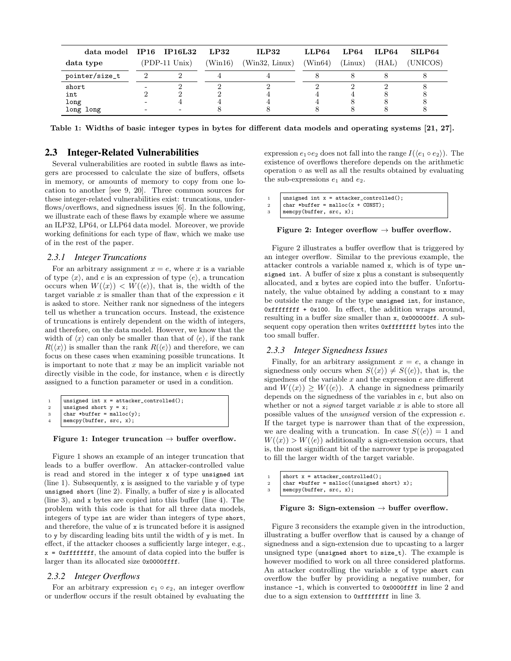| data model IP16 IP16L32 |                          |                         | LP32    | <b>ILP32</b>   | LLP64   | <b>LP64</b> | ILP64 | SILP64   |
|-------------------------|--------------------------|-------------------------|---------|----------------|---------|-------------|-------|----------|
| data type               |                          | $(PDP-11 \text{ Unix})$ | (Win16) | (Win32, Linux) | (Win64) | (Linux)     | (HAL) | (UNICOS) |
| pointer/size_t          |                          |                         |         |                |         |             |       |          |
| short                   | $\overline{\phantom{a}}$ |                         |         |                |         |             |       |          |
| int                     |                          |                         |         |                |         |             |       |          |
| long                    |                          |                         |         |                |         |             |       |          |
| long long               | -                        |                         |         |                |         |             |       |          |

Table 1: Widths of basic integer types in bytes for different data models and operating systems [21, 27].

## 2.3 Integer-Related Vulnerabilities

Several vulnerabilities are rooted in subtle flaws as integers are processed to calculate the size of buffers, offsets in memory, or amounts of memory to copy from one location to another [see 9, 20]. Three common sources for these integer-related vulnerabilities exist: truncations, underflows/overflows, and signedness issues [6]. In the following, we illustrate each of these flaws by example where we assume an ILP32, LP64, or LLP64 data model. Moreover, we provide working definitions for each type of flaw, which we make use of in the rest of the paper.

#### *2.3.1 Integer Truncations*

For an arbitrary assignment  $x = e$ , where x is a variable of type  $\langle x \rangle$ , and e is an expression of type  $\langle e \rangle$ , a truncation occurs when  $W(\langle x \rangle) < W(\langle e \rangle)$ , that is, the width of the target variable  $x$  is smaller than that of the expression  $e$  it is asked to store. Neither rank nor signedness of the integers tell us whether a truncation occurs. Instead, the existence of truncations is entirely dependent on the width of integers, and therefore, on the data model. However, we know that the width of  $\langle x \rangle$  can only be smaller than that of  $\langle e \rangle$ , if the rank  $R(\langle x \rangle)$  is smaller than the rank  $R(\langle e \rangle)$  and therefore, we can focus on these cases when examining possible truncations. It is important to note that  $x$  may be an implicit variable not directly visible in the code, for instance, when e is directly assigned to a function parameter or used in a condition.

|  |  |  |  |  | $\vert$ unsigned int $x =$ attacker_controlled(); |
|--|--|--|--|--|---------------------------------------------------|
|--|--|--|--|--|---------------------------------------------------|

```
2 unsigned short y = x;<br>3 char *buffer = malloc
         char * buffer = <code>mall</code>
```

```
memcpy(buffer, src, x);
```
#### Figure 1: Integer truncation  $\rightarrow$  buffer overflow.

Figure 1 shows an example of an integer truncation that leads to a buffer overflow. An attacker-controlled value is read and stored in the integer x of type unsigned int (line 1). Subsequently, x is assigned to the variable  $\gamma$  of type unsigned short (line 2). Finally, a buffer of size  $y$  is allocated (line 3), and x bytes are copied into this buffer (line 4). The problem with this code is that for all three data models, integers of type int are wider than integers of type short, and therefore, the value of x is truncated before it is assigned to y by discarding leading bits until the width of y is met. In effect, if the attacker chooses a sufficiently large integer, e.g., x = 0xffffffff, the amount of data copied into the buffer is larger than its allocated size 0x0000ffff.

#### *2.3.2 Integer Overflows*

For an arbitrary expression  $e_1 \circ e_2$ , an integer overflow or underflow occurs if the result obtained by evaluating the expression  $e_1 \circ e_2$  does not fall into the range  $I(\langle e_1 \circ e_2 \rangle)$ . The existence of overflows therefore depends on the arithmetic operation ◦ as well as all the results obtained by evaluating the sub-expressions  $e_1$  and  $e_2$ .

1 unsigned int  $x = \text{attacker\_controlled();}$ <br>
char \*buffer = malloc( $x + \text{CONST}$ ):

 $char *buffer = malloc(x + CONST):$ 

3 memcpy(buffer, src, x);

Figure 2: Integer overflow  $\rightarrow$  buffer overflow.

Figure 2 illustrates a buffer overflow that is triggered by an integer overflow. Similar to the previous example, the attacker controls a variable named x, which is of type unsigned int. A buffer of size x plus a constant is subsequently allocated, and x bytes are copied into the buffer. Unfortunately, the value obtained by adding a constant to x may be outside the range of the type unsigned int, for instance, 0xffffffff + 0x100. In effect, the addition wraps around, resulting in a buffer size smaller than x, 0x000000ff. A subsequent copy operation then writes  $0$ xffffffff bytes into the too small buffer.

#### *2.3.3 Integer Signedness Issues*

Finally, for an arbitrary assignment  $x = e$ , a change in signedness only occurs when  $S(\langle x \rangle) \neq S(\langle e \rangle)$ , that is, the signedness of the variable  $x$  and the expression  $e$  are different and  $W(\langle x \rangle) \geq W(\langle e \rangle)$ . A change in signedness primarily depends on the signedness of the variables in e, but also on whether or not a *signed* target variable x is able to store all possible values of the unsigned version of the expression e. If the target type is narrower than that of the expression, we are dealing with a truncation. In case  $S(\langle e \rangle) = 1$  and  $W(\langle x \rangle) > W(\langle e \rangle)$  additionally a sign-extension occurs, that is, the most significant bit of the narrower type is propagated to fill the larger width of the target variable.

1 short  $x = \text{attacker\_controlled}$ 

```
2 char *buffer = malloc((unsigned short) x);
```

```
3 memcpy(buffer, src, x);
```
#### Figure 3: Sign-extension  $\rightarrow$  buffer overflow.

Figure 3 reconsiders the example given in the introduction, illustrating a buffer overflow that is caused by a change of signedness and a sign-extension due to upcasting to a larger unsigned type (unsigned short to size\_t). The example is however modified to work on all three considered platforms. An attacker controlling the variable x of type short can overflow the buffer by providing a negative number, for instance -1, which is converted to 0x0000ffff in line 2 and due to a sign extension to 0xffffffff in line 3.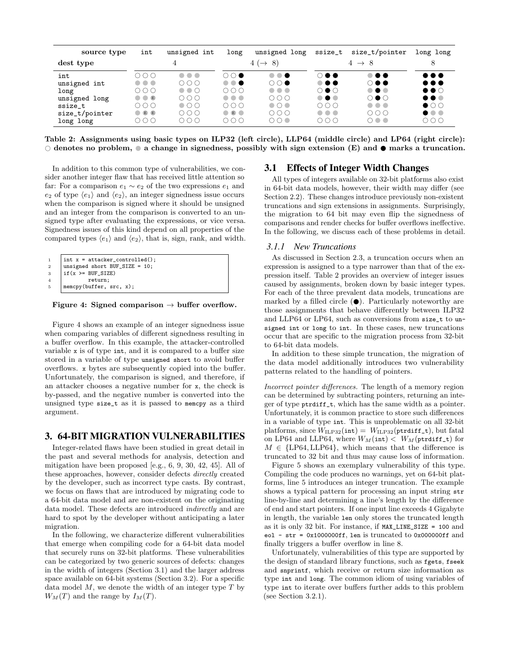| source type                                                                            | int                                                                                   | unsigned int                                                                     | long                                                                                 | unsigned long                                                                                             | ssize_t                                                                   | size_t/pointer                                               | long long                                                                                                                                                                           |
|----------------------------------------------------------------------------------------|---------------------------------------------------------------------------------------|----------------------------------------------------------------------------------|--------------------------------------------------------------------------------------|-----------------------------------------------------------------------------------------------------------|---------------------------------------------------------------------------|--------------------------------------------------------------|-------------------------------------------------------------------------------------------------------------------------------------------------------------------------------------|
| dest type                                                                              |                                                                                       | 4                                                                                |                                                                                      | $4\ (\rightarrow\ 8)$                                                                                     |                                                                           | $4 \rightarrow 8$                                            |                                                                                                                                                                                     |
| int<br>unsigned int<br>long<br>unsigned long<br>ssize_t<br>size_t/pointer<br>long long | 000<br>$\bullet\bullet\bullet$<br>OOC<br>$\bullet$ $\bullet$ $E$<br>DOC<br>E E<br>OOC | <br>000<br>$\bullet\bullet\circ$<br>OOO<br>$\circ$ $\circ$ $\circ$<br>OOO<br>OOC | $\bigcirc \bigcirc \bullet$<br><br>OOO<br><br>റററ<br><b>OEO</b><br>$\circ\circ\circ$ | .<br>$\bigcirc \bigcirc \bullet$<br>.<br>OOO<br>$\bullet$ $\circ$ $\bullet$<br>OOO<br>$\circ\circ\bullet$ | 0●●<br><br>೧●೧<br><br>OOO<br>$\bullet\bullet\bullet$<br>$\circ\circ\circ$ | .<br>∩••<br><br>೧∎೧<br><br>OOO<br>$\bigcirc \bullet \bullet$ | $\bullet\bullet\bullet$<br>$\bullet\bullet\bullet$<br>$\bullet\bullet\circ$<br>$\bullet\bullet\bullet$<br>$\bullet$ $\circ$ $\circ$<br>$\bullet\bullet\bullet$<br>$\circ\circ\circ$ |

Table 2: Assignments using basic types on ILP32 (left circle), LLP64 (middle circle) and LP64 (right circle):  $\circ$  denotes no problem,  $\bullet$  a change in signedness, possibly with sign extension (E) and  $\bullet$  marks a truncation.

In addition to this common type of vulnerabilities, we consider another integer flaw that has received little attention so far: For a comparison  $e_1 \sim e_2$  of the two expressions  $e_1$  and  $e_2$  of type  $\langle e_1 \rangle$  and  $\langle e_2 \rangle$ , an integer signedness issue occurs when the comparison is signed where it should be unsigned and an integer from the comparison is converted to an unsigned type after evaluating the expressions, or vice versa. Signedness issues of this kind depend on all properties of the compared types  $\langle e_1 \rangle$  and  $\langle e_2 \rangle$ , that is, sign, rank, and width.

```
1 int x = \text{attacker\_controlled}();<br>2 unsigned short BUF_SIZE = 10;
2 | unsigned short BUF_SIZE = 10;<br>3 | if(x >= BUF_SIZE)
       if(x) = BUF_SIZE)4 | return;
5 memcpy(buffer, src, x);
```
#### Figure 4: Signed comparison  $\rightarrow$  buffer overflow.

Figure 4 shows an example of an integer signedness issue when comparing variables of different signedness resulting in a buffer overflow. In this example, the attacker-controlled variable x is of type int, and it is compared to a buffer size stored in a variable of type unsigned short to avoid buffer overflows. x bytes are subsequently copied into the buffer. Unfortunately, the comparison is signed, and therefore, if an attacker chooses a negative number for x, the check is by-passed, and the negative number is converted into the unsigned type size\_t as it is passed to memcpy as a third argument.

## 3. 64-BIT MIGRATION VULNERABILITIES

Integer-related flaws have been studied in great detail in the past and several methods for analysis, detection and mitigation have been proposed [e.g., 6, 9, 30, 42, 45]. All of these approaches, however, consider defects directly created by the developer, such as incorrect type casts. By contrast, we focus on flaws that are introduced by migrating code to a 64-bit data model and are non-existent on the originating data model. These defects are introduced indirectly and are hard to spot by the developer without anticipating a later migration.

In the following, we characterize different vulnerabilities that emerge when compiling code for a 64-bit data model that securely runs on 32-bit platforms. These vulnerabilities can be categorized by two generic sources of defects: changes in the width of integers (Section 3.1) and the larger address space available on 64-bit systems (Section 3.2). For a specific data model  $M$ , we denote the width of an integer type  $T$  by  $W_M(T)$  and the range by  $I_M(T)$ .

#### 3.1 Effects of Integer Width Changes

All types of integers available on 32-bit platforms also exist in 64-bit data models, however, their width may differ (see Section 2.2). These changes introduce previously non-existent truncations and sign extensions in assignments. Surprisingly, the migration to 64 bit may even flip the signedness of comparisons and render checks for buffer overflows ineffective. In the following, we discuss each of these problems in detail.

#### *3.1.1 New Truncations*

As discussed in Section 2.3, a truncation occurs when an expression is assigned to a type narrower than that of the expression itself. Table 2 provides an overview of integer issues caused by assignments, broken down by basic integer types. For each of the three prevalent data models, truncations are marked by a filled circle  $(\bullet)$ . Particularly noteworthy are those assignments that behave differently between ILP32 and LLP64 or LP64, such as conversions from size\_t to unsigned int or long to int. In these cases, new truncations occur that are specific to the migration process from 32-bit to 64-bit data models.

In addition to these simple truncation, the migration of the data model additionally introduces two vulnerability patterns related to the handling of pointers.

Incorrect pointer differences. The length of a memory region can be determined by subtracting pointers, returning an integer of type ptrdiff\_t, which has the same width as a pointer. Unfortunately, it is common practice to store such differences in a variable of type int. This is unproblematic on all 32-bit platforms, since  $W_{\text{ILP32}}(\text{int}) = W_{\text{ILP32}}(\text{ptrdiff\_t}),$  but fatal on LP64 and LLP64, where  $W_M(\text{int}) < W_M(\text{ptraft\_t})$  for  $M \in \{LP64, LLP64\}$ , which means that the difference is truncated to 32 bit and thus may cause loss of information.

Figure 5 shows an exemplary vulnerability of this type. Compiling the code produces no warnings, yet on 64-bit platforms, line 5 introduces an integer truncation. The example shows a typical pattern for processing an input string str line-by-line and determining a line's length by the difference of end and start pointers. If one input line exceeds 4 Gigabyte in length, the variable len only stores the truncated length as it is only 32 bit. For instance, if MAX\_LINE\_SIZE = 100 and eol -  $str = 0x1000000ff$ , len is truncated to 0x000000ff and finally triggers a buffer overflow in line 8.

Unfortunately, vulnerabilities of this type are supported by the design of standard library functions, such as fgets, fseek and snprintf, which receive or return size information as type int and long. The common idiom of using variables of type int to iterate over buffers further adds to this problem (see Section 3.2.1).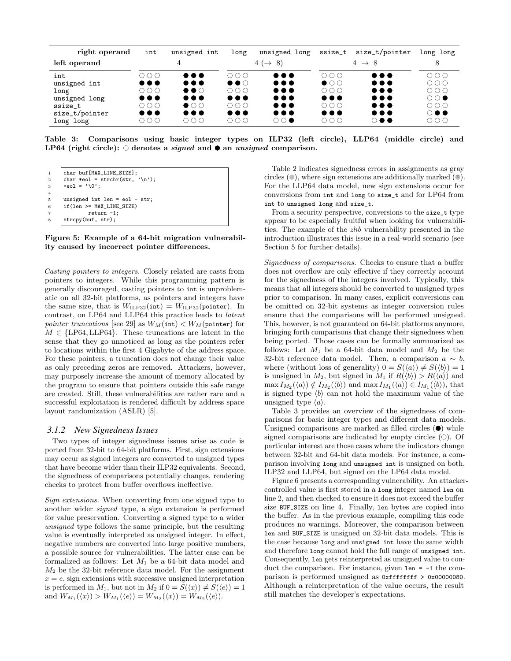| right operand                                                                          | int                                                                                                                                             | unsigned int                                                                                                                                                                           | long                                                                                                                                | unsigned long                                                                                                                                                                         | ssize_t                                                                                                                     | size_t/pointer                                                                                                                                                                          | long long                                                                                               |
|----------------------------------------------------------------------------------------|-------------------------------------------------------------------------------------------------------------------------------------------------|----------------------------------------------------------------------------------------------------------------------------------------------------------------------------------------|-------------------------------------------------------------------------------------------------------------------------------------|---------------------------------------------------------------------------------------------------------------------------------------------------------------------------------------|-----------------------------------------------------------------------------------------------------------------------------|-----------------------------------------------------------------------------------------------------------------------------------------------------------------------------------------|---------------------------------------------------------------------------------------------------------|
| left operand                                                                           |                                                                                                                                                 | 4                                                                                                                                                                                      |                                                                                                                                     | $4\ (\rightarrow\ 8)$                                                                                                                                                                 |                                                                                                                             | $4 \rightarrow 8$                                                                                                                                                                       |                                                                                                         |
| int<br>unsigned int<br>long<br>unsigned long<br>ssize_t<br>size_t/pointer<br>long long | $\circ$ $\circ$<br>$\bullet\bullet\bullet$<br>$\circ$ $\circ$<br>$\bullet\bullet\bullet$<br>$\circ\circ\circ$<br>$\bullet\bullet\bullet$<br>000 | $\bullet\bullet\bullet$<br>$\bullet\bullet\bullet$<br>$\bullet\bullet$ $\circ$<br>$\bullet\bullet\bullet$<br>$\bullet$ $\circ$ $\circ$<br>$\bullet\bullet\bullet$<br>$\circ\circ\circ$ | $\circ$ $\circ$<br>$\bullet\bullet\circ$<br>$\circ \circ \circ$<br>$\bullet\bullet\bullet$<br>OOO<br>$\bullet\bullet\bullet$<br>000 | $\bullet\bullet\bullet$<br>$\bullet\bullet\bullet$<br>$\bullet\bullet\bullet$<br>$\bullet\bullet\bullet$<br>$\bullet\bullet\bullet$<br>$\bullet\bullet\bullet$<br>$\circ\circ\bullet$ | 000<br>$\bullet$ $\circ$ $\circ$<br>000<br>$\bullet\bullet\bullet$<br>000<br>$\bullet\bullet\bullet$<br>$\circ \circ \circ$ | $\bullet\bullet\bullet$<br>$\bullet\bullet\bullet$<br>$\bullet\bullet\bullet$<br>$\bullet\bullet\bullet$<br>$\bullet\bullet\bullet$<br>$\bullet\bullet\bullet$<br>$\circ\bullet\bullet$ | 000<br>000<br>000<br>$\bigcirc \bigcirc \bullet$<br>000<br>$\circ \bullet \bullet$<br>$\circ\circ\circ$ |

Table 3: Comparisons using basic integer types on ILP32 (left circle), LLP64 (middle circle) and LP64 (right circle):  $\circ$  denotes a *signed* and  $\bullet$  an *unsigned* comparison.

|                | char buf [MAX_LINE_SIZE];              |
|----------------|----------------------------------------|
| $\overline{2}$ | $\vert$ char *eol = strchr(str, '\n'); |
| $\overline{3}$ | *eol = $\sqrt{0}$ ;                    |
| $\overline{4}$ |                                        |
| $\overline{5}$ | unsigned int len = eol - str;          |
| 6              | $if(len >= MAX_LINE_SIZE)$             |
|                | $return -1;$                           |
| 8              | strcpy(buf, str);                      |
|                |                                        |

Figure 5: Example of a 64-bit migration vulnerability caused by incorrect pointer differences.

Casting pointers to integers. Closely related are casts from pointers to integers. While this programming pattern is generally discouraged, casting pointers to int is unproblematic on all 32-bit platforms, as pointers and integers have the same size, that is  $W_{\text{ILP32}}(\text{int}) = W_{\text{ILP32}}(\text{ pointer})$ . In contrast, on LP64 and LLP64 this practice leads to latent pointer truncations [see 29] as  $W_M(\text{int}) < W_M(\text{pointer})$  for  $M \in \{LP64, LLP64\}$ . These truncations are latent in the sense that they go unnoticed as long as the pointers refer to locations within the first 4 Gigabyte of the address space. For these pointers, a truncation does not change their value as only preceding zeros are removed. Attackers, however, may purposely increase the amount of memory allocated by the program to ensure that pointers outside this safe range are created. Still, these vulnerabilities are rather rare and a successful exploitation is rendered difficult by address space layout randomization (ASLR) [5].

#### *3.1.2 New Signedness Issues*

Two types of integer signedness issues arise as code is ported from 32-bit to 64-bit platforms. First, sign extensions may occur as signed integers are converted to unsigned types that have become wider than their ILP32 equivalents. Second, the signedness of comparisons potentially changes, rendering checks to protect from buffer overflows ineffective.

Sign extensions. When converting from one signed type to another wider signed type, a sign extension is performed for value preservation. Converting a signed type to a wider unsigned type follows the same principle, but the resulting value is eventually interpreted as unsigned integer. In effect, negative numbers are converted into large positive numbers, a possible source for vulnerabilities. The latter case can be formalized as follows: Let  $M_1$  be a 64-bit data model and  $M_2$  be the 32-bit reference data model. For the assignment  $x = e$ , sign extensions with successive unsigned interpretation is performed in  $M_1$ , but not in  $M_2$  if  $0 = S(\langle x \rangle) \neq S(\langle e \rangle) = 1$ and  $W_{M_1}(\langle x \rangle) > W_{M_1}(\langle e \rangle) = W_{M_2}(\langle x \rangle) = W_{M_2}(\langle e \rangle).$ 

Table 2 indicates signedness errors in assignments as gray circles  $( \circ )$ , where sign extensions are additionally marked  $( \circ )$ . For the LLP64 data model, new sign extensions occur for conversions from int and long to size\_t and for LP64 from int to unsigned long and size\_t.

From a security perspective, conversions to the size\_t type appear to be especially fruitful when looking for vulnerabilities. The example of the zlib vulnerability presented in the introduction illustrates this issue in a real-world scenario (see Section 5 for further details).

Signedness of comparisons. Checks to ensure that a buffer does not overflow are only effective if they correctly account for the signedness of the integers involved. Typically, this means that all integers should be converted to unsigned types prior to comparison. In many cases, explicit conversions can be omitted on 32-bit systems as integer conversion rules ensure that the comparisons will be performed unsigned. This, however, is not guaranteed on 64-bit platforms anymore, bringing forth comparisons that change their signedness when being ported. Those cases can be formally summarized as follows: Let  $M_1$  be a 64-bit data model and  $M_2$  be the 32-bit reference data model. Then, a comparison  $a \sim b$ , where (without loss of generality)  $0 = S(\langle a \rangle) \neq S(\langle b \rangle) = 1$ is unsigned in  $M_2$ , but signed in  $M_1$  if  $R(\langle b \rangle) > R(\langle a \rangle)$  and  $\max I_{M_2}(\langle a \rangle) \notin I_{M_2}(\langle b \rangle)$  and  $\max I_{M_1}(\langle a \rangle) \in I_{M_1}(\langle b \rangle)$ , that is signed type  $\langle b \rangle$  can not hold the maximum value of the unsigned type  $\langle a \rangle$ .

Table 3 provides an overview of the signedness of comparisons for basic integer types and different data models. Unsigned comparisons are marked as filled circles  $(\bullet)$  while signed comparisons are indicated by empty circles  $(\circ)$ . Of particular interest are those cases where the indicators change between 32-bit and 64-bit data models. For instance, a comparison involving long and unsigned int is unsigned on both, ILP32 and LLP64, but signed on the LP64 data model.

Figure 6 presents a corresponding vulnerability. An attackercontrolled value is first stored in a long integer named len on line 2, and then checked to ensure it does not exceed the buffer size BUF\_SIZE on line 4. Finally, len bytes are copied into the buffer. As in the previous example, compiling this code produces no warnings. Moreover, the comparison between len and BUF\_SIZE is unsigned on 32-bit data models. This is the case because long and unsigned int have the same width and therefore long cannot hold the full range of unsigned int. Consequently, len gets reinterpreted as unsigned value to conduct the comparison. For instance, given len = -1 the comparison is performed unsigned as 0xffffffff > 0x00000080. Although a reinterpretation of the value occurs, the result still matches the developer's expectations.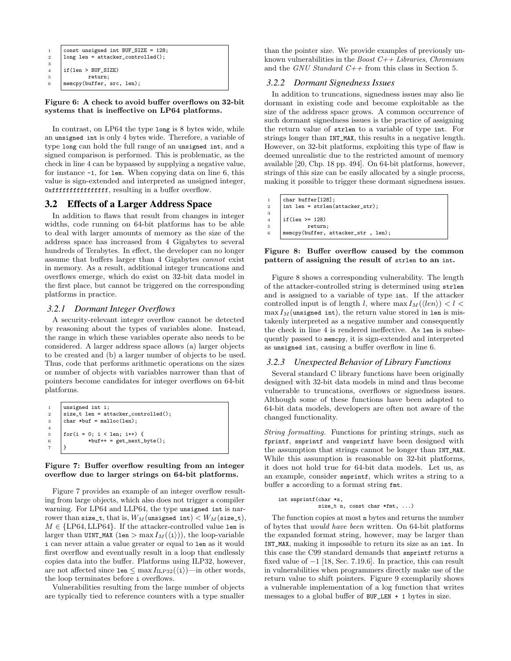```
1 const unsigned int BUF_SIZE = 128;
2 | long len = attacker\_controlled();
3
4 if(len > BUF_SIZE)<br>5 return:
             return;
6 memcpy(buffer, src, len);
```
Figure 6: A check to avoid buffer overflows on 32-bit systems that is ineffective on LP64 platforms.

In contrast, on LP64 the type long is 8 bytes wide, while an unsigned int is only 4 bytes wide. Therefore, a variable of type long can hold the full range of an unsigned int, and a signed comparison is performed. This is problematic, as the check in line 4 can be bypassed by supplying a negative value, for instance -1, for len. When copying data on line 6, this value is sign-extended and interpreted as unsigned integer, 0xffffffffffffffff, resulting in a buffer overflow.

#### 3.2 Effects of a Larger Address Space

In addition to flaws that result from changes in integer widths, code running on 64-bit platforms has to be able to deal with larger amounts of memory as the size of the address space has increased from 4 Gigabytes to several hundreds of Terabytes. In effect, the developer can no longer assume that buffers larger than 4 Gigabytes cannot exist in memory. As a result, additional integer truncations and overflows emerge, which do exist on 32-bit data model in the first place, but cannot be triggered on the corresponding platforms in practice.

#### *3.2.1 Dormant Integer Overflows*

A security-relevant integer overflow cannot be detected by reasoning about the types of variables alone. Instead, the range in which these variables operate also needs to be considered. A larger address space allows (a) larger objects to be created and (b) a larger number of objects to be used. Thus, code that performs arithmetic operations on the sizes or number of objects with variables narrower than that of pointers become candidates for integer overflows on 64-bit platforms.

|               | $\begin{tabular}{ll} 1 & unsigned int i; \\ 2 & size_t len = attacker\_controlled(); \\ 3 & char *buf = malloc(len); \end{tabular}$ |
|---------------|-------------------------------------------------------------------------------------------------------------------------------------|
|               |                                                                                                                                     |
|               |                                                                                                                                     |
|               | 4<br>5<br>for(i = 0; i < len; i++) {<br>*buf++ = get_next_byte();                                                                   |
|               |                                                                                                                                     |
| $\frac{6}{7}$ |                                                                                                                                     |
|               |                                                                                                                                     |
|               |                                                                                                                                     |

#### Figure 7: Buffer overflow resulting from an integer overflow due to larger strings on 64-bit platforms.

Figure 7 provides an example of an integer overflow resulting from large objects, which also does not trigger a compiler warning. For LP64 and LLP64, the type unsigned int is narrower than size\_t, that is,  $W_M$ (unsigned int)  $\lt W_M$ (size\_t),  $M \in \{LP64, LLP64\}$ . If the attacker-controlled value len is larger than UINT\_MAX (len > max  $I_M(\langle i \rangle)$ ), the loop-variable i can never attain a value greater or equal to len as it would first overflow and eventually result in a loop that endlessly copies data into the buffer. Platforms using ILP32, however, are not affected since len  $\leq$  max  $I_{\text{ILP32}}(\langle i \rangle)$ —in other words, the loop terminates before i overflows.

Vulnerabilities resulting from the large number of objects are typically tied to reference counters with a type smaller

than the pointer size. We provide examples of previously unknown vulnerabilities in the Boost  $C++Libraries$ , Chromium and the GNU Standard  $C++$  from this class in Section 5.

#### *3.2.2 Dormant Signedness Issues*

In addition to truncations, signedness issues may also lie dormant in existing code and become exploitable as the size of the address space grows. A common occurrence of such dormant signedness issues is the practice of assigning the return value of strlen to a variable of type int. For strings longer than INT\_MAX, this results in a negative length. However, on 32-bit platforms, exploiting this type of flaw is deemed unrealistic due to the restricted amount of memory available [20, Chp. 18 pp. 494]. On 64-bit platforms, however, strings of this size can be easily allocated by a single process, making it possible to trigger these dormant signedness issues.

```
1 char buffer[128];
```

```
2 | int len = strlen(attacker_str);
```

```
3
4 | if(len >= 128)
```

```
5 return;
```
6 memcpy(buffer, attacker\_str , len);

#### Figure 8: Buffer overflow caused by the common pattern of assigning the result of strlen to an int.

Figure 8 shows a corresponding vulnerability. The length of the attacker-controlled string is determined using strlen and is assigned to a variable of type int. If the attacker controlled input is of length l, where  $\max I_M(\langle len \rangle) < l <$  $\max I_M$ (unsigned int), the return value stored in len is mistakenly interpreted as a negative number and consequently the check in line 4 is rendered ineffective. As len is subsequently passed to memcpy, it is sign-extended and interpreted as unsigned int, causing a buffer overflow in line 6.

#### *3.2.3 Unexpected Behavior of Library Functions*

Several standard C library functions have been originally designed with 32-bit data models in mind and thus become vulnerable to truncations, overflows or signedness issues. Although some of these functions have been adapted to 64-bit data models, developers are often not aware of the changed functionality.

String formatting. Functions for printing strings, such as fprintf, snprintf and vsnprintf have been designed with the assumption that strings cannot be longer than INT\_MAX. While this assumption is reasonable on 32-bit platforms, it does not hold true for 64-bit data models. Let us, as an example, consider snprintf, which writes a string to a buffer s according to a format string fmt.

```
int snprintf(char *s,
             size_t n, const char *fmt, ...)
```
The function copies at most n bytes and returns the number of bytes that would have been written. On 64-bit platforms the expanded format string, however, may be larger than INT\_MAX, making it impossible to return its size as an int. In this case the C99 standard demands that snprintf returns a fixed value of  $-1$  [18, Sec. 7.19.6]. In practice, this can result in vulnerabilities when programmers directly make use of the return value to shift pointers. Figure 9 exemplarily shows a vulnerable implementation of a log function that writes messages to a global buffer of BUF\_LEN + 1 bytes in size.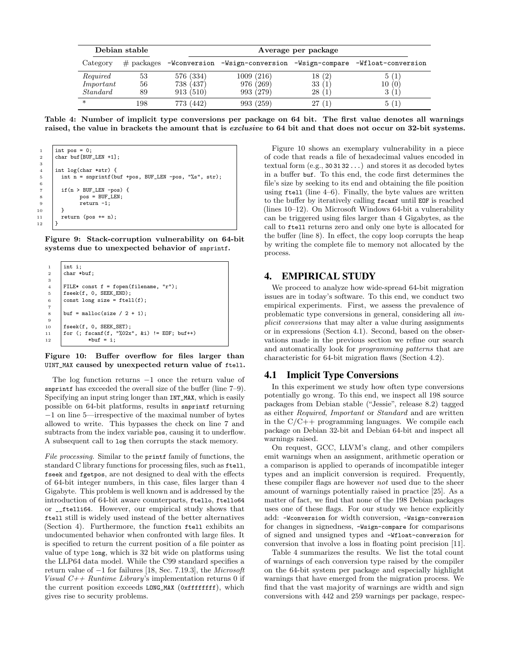|           | Debian stable |           | Average per package                          |        |                                   |  |  |
|-----------|---------------|-----------|----------------------------------------------|--------|-----------------------------------|--|--|
| Category  |               |           | $\#$ packages -Wconversion -Wsign-conversion |        | -Wsign-compare -Wfloat-conversion |  |  |
| Required  | 53            | 576 (334) | 1009(216)                                    | 18(2)  | 5(1)                              |  |  |
| Important | 56            | 738 (437) | 976 (269)                                    | 33 (1) | 10(0)                             |  |  |
| Standard  | 89            | 913 (510) | 993 (279)                                    | 28(1)  |                                   |  |  |
| $\ast$    | 198           | 773 (442) | 993 (259)                                    | 27(1)  | 5(1)                              |  |  |

Table 4: Number of implicit type conversions per package on 64 bit. The first value denotes all warnings raised, the value in brackets the amount that is exclusive to 64 bit and that does not occur on 32-bit systems.

|                | int pos = $0$ ;                                        |
|----------------|--------------------------------------------------------|
| $\overline{2}$ | char buf [BUF_LEN +1];                                 |
| 3              |                                                        |
| $\overline{4}$ | int $log(char * str)$ {                                |
| 5              | int $n =$ snprintf(buf +pos, BUF_LEN -pos, "%s", str); |
| 6              |                                                        |
|                | if $(n > BUF_LEN -pos)$ {                              |
| 8              | $pos = BUF_LEN;$                                       |
| - 9            | $return -1;$                                           |
| 10             |                                                        |
| 11             | return (pos $+= n);$                                   |
| 12             |                                                        |

Figure 9: Stack-corruption vulnerability on 64-bit systems due to unexpected behavior of snprintf.

```
\begin{array}{c|c} 1 & \text{int } i; \\ 2 & \text{char } * \end{array}char *buf;
 3
 4 | FILE* const f = fopen(filename, "r");
 \begin{array}{c|c}\n5 & \text{fseek}(f, 0, \text{SEEK\_END}); \\
6 & \text{const long size = ftel}\n\end{array}const long size = ftell(f);7
 8 buf = malloc(size / 2 + 1);
 9
10 | fseek(f, 0, SEEK_SET);
11 \int for (; fscanf(f, "%02x", &i) != EOF; buf++)
12 *buf = i;
```
#### Figure 10: Buffer overflow for files larger than UINT\_MAX caused by unexpected return value of ftell.

The log function returns −1 once the return value of snprintf has exceeded the overall size of the buffer (line  $7-9$ ). Specifying an input string longer than INT\_MAX, which is easily possible on 64-bit platforms, results in snprintf returning −1 on line 5—irrespective of the maximal number of bytes allowed to write. This bypasses the check on line 7 and subtracts from the index variable pos, causing it to underflow. A subsequent call to log then corrupts the stack memory.

File processing. Similar to the printf family of functions, the standard C library functions for processing files, such as ftell, fseek and fgetpos, are not designed to deal with the effects of 64-bit integer numbers, in this case, files larger than 4 Gigabyte. This problem is well known and is addressed by the introduction of 64-bit aware counterparts, ftello, ftello64 or \_\_ftelli64. However, our empirical study shows that ftell still is widely used instead of the better alternatives (Section 4). Furthermore, the function ftell exhibits an undocumented behavior when confronted with large files. It is specified to return the current position of a file pointer as value of type long, which is 32 bit wide on platforms using the LLP64 data model. While the C99 standard specifies a return value of −1 for failures [18, Sec. 7.19.3], the Microsoft Visual  $C++$  Runtime Library's implementation returns 0 if the current position exceeds LONG\_MAX (0xffffffff), which gives rise to security problems.

Figure 10 shows an exemplary vulnerability in a piece of code that reads a file of hexadecimal values encoded in textual form (e.g., 30 31 32 ...) and stores it as decoded bytes in a buffer buf. To this end, the code first determines the file's size by seeking to its end and obtaining the file position using ftell (line 4–6). Finally, the byte values are written to the buffer by iteratively calling fscanf until EOF is reached (lines 10–12). On Microsoft Windows 64-bit a vulnerability can be triggered using files larger than 4 Gigabytes, as the call to ftell returns zero and only one byte is allocated for the buffer (line 8). In effect, the copy loop corrupts the heap by writing the complete file to memory not allocated by the process.

# 4. EMPIRICAL STUDY

We proceed to analyze how wide-spread 64-bit migration issues are in today's software. To this end, we conduct two empirical experiments. First, we assess the prevalence of problematic type conversions in general, considering all implicit conversions that may alter a value during assignments or in expressions (Section 4.1). Second, based on the observations made in the previous section we refine our search and automatically look for programming patterns that are characteristic for 64-bit migration flaws (Section 4.2).

# 4.1 Implicit Type Conversions

In this experiment we study how often type conversions potentially go wrong. To this end, we inspect all 198 source packages from Debian stable ("Jessie", release 8.2) tagged as either Required, Important or Standard and are written in the  $C/C++$  programming languages. We compile each package on Debian 32-bit and Debian 64-bit and inspect all warnings raised.

On request, GCC, LLVM's clang, and other compilers emit warnings when an assignment, arithmetic operation or a comparison is applied to operands of incompatible integer types and an implicit conversion is required. Frequently, these compiler flags are however not used due to the sheer amount of warnings potentially raised in practice [25]. As a matter of fact, we find that none of the 198 Debian packages uses one of these flags. For our study we hence explicitly add: -Wconversion for width conversion, -Wsign-conversion for changes in signedness, -Wsign-compare for comparisons of signed and unsigned types and -Wfloat-conversion for conversion that involve a loss in floating point precision [11].

Table 4 summarizes the results. We list the total count of warnings of each conversion type raised by the compiler on the 64-bit system per package and especially highlight warnings that have emerged from the migration process. We find that the vast majority of warnings are width and sign conversions with 442 and 259 warnings per package, respec-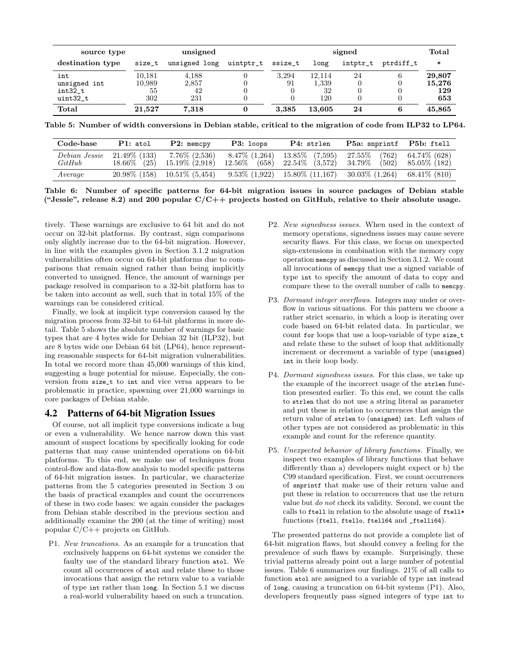| source type      |        | unsigned      |           |         |        | signed   |           | Total  |
|------------------|--------|---------------|-----------|---------|--------|----------|-----------|--------|
| destination type | size_t | unsigned long | uintptr_t | ssize_t | long   | intptr_t | ptrdiff_t | $\ast$ |
| int              | 10.181 | 4.188         |           | 3.294   | 12.114 | 24       | 6         | 29,807 |
| unsigned int     | 10,989 | 2,857         |           | 91      | 1.339  |          |           | 15,276 |
| $int32_t$        | 55     | 42            |           |         | 32     |          |           | 129    |
| $uint32_t$       | 302    | 231           |           |         | 120    |          |           | 653    |
| Total            | 21,527 | 7,318         |           | 3,385   | 13.605 | 24       | 6         | 45,865 |

Table 5: Number of width conversions in Debian stable, critical to the migration of code from ILP32 to LP64.

| Code-base               | $P1:$ atol                        | $P2:$ memcpy                              | P3:100pS                              | P4: strlen                             | P5a: snprintf P5b: ftell            |                                  |
|-------------------------|-----------------------------------|-------------------------------------------|---------------------------------------|----------------------------------------|-------------------------------------|----------------------------------|
| Debian Jessie<br>GitHub | $21.49\%$ (133)<br>$18.66\%$ (25) | $7.76\%$ $(2,536)$<br>$15.19\%$ $(2,918)$ | $8.47\%$ $(1,264)$<br>$12.56\%$ (658) | 13.85\% (7,595)<br>$22.54\%$ $(3,572)$ | $27.55\%$<br>(762)<br>34.79\% (502) | $64.74\%$ (628)<br>85.05\% (182) |
| Average                 | 20.98\% (158)                     | $10.51\%$ (5,454)                         | $9.53\%$ (1,922)                      | $15.80\%$ (11,167)                     | $30.03\%$ (1,264) 68.41\% (810)     |                                  |

Table 6: Number of specific patterns for 64-bit migration issues in source packages of Debian stable ("Jessie", release 8.2) and 200 popular  $C/C++$  projects hosted on GitHub, relative to their absolute usage.

tively. These warnings are exclusive to 64 bit and do not occur on 32-bit platforms. By contrast, sign comparisons only slightly increase due to the 64-bit migration. However, in line with the examples given in Section 3.1.2 migration vulnerabilities often occur on 64-bit platforms due to comparisons that remain signed rather than being implicitly converted to unsigned. Hence, the amount of warnings per package resolved in comparison to a 32-bit platform has to be taken into account as well, such that in total 15% of the warnings can be considered critical.

Finally, we look at implicit type conversion caused by the migration process from 32-bit to 64-bit platforms in more detail. Table 5 shows the absolute number of warnings for basic types that are 4 bytes wide for Debian 32 bit (ILP32), but are 8 bytes wide one Debian 64 bit (LP64), hence representing reasonable suspects for 64-bit migration vulnerabilities. In total we record more than 45,000 warnings of this kind, suggesting a huge potential for misuse. Especially, the conversion from size\_t to int and vice versa appears to be problematic in practice, spawning over 21,000 warnings in core packages of Debian stable.

## 4.2 Patterns of 64-bit Migration Issues

Of course, not all implicit type conversions indicate a bug or even a vulnerability. We hence narrow down this vast amount of suspect locations by specifically looking for code patterns that may cause unintended operations on 64-bit platforms. To this end, we make use of techniques from control-flow and data-flow analysis to model specific patterns of 64-bit migration issues. In particular, we characterize patterns from the 5 categories presented in Section 3 on the basis of practical examples and count the occurrences of these in two code bases: we again consider the packages from Debian stable described in the previous section and additionally examine the 200 (at the time of writing) most popular C/C++ projects on GitHub.

P1. New truncations. As an example for a truncation that exclusively happens on 64-bit systems we consider the faulty use of the standard library function atol. We count all occurrences of atol and relate these to those invocations that assign the return value to a variable of type int rather than long. In Section 5.1 we discuss a real-world vulnerability based on such a truncation.

- P2. New signedness issues. When used in the context of memory operations, signedness issues may cause severe security flaws. For this class, we focus on unexpected sign-extensions in combination with the memory copy operation memcpy as discussed in Section 3.1.2. We count all invocations of memcpy that use a signed variable of type int to specify the amount of data to copy and compare these to the overall number of calls to memcpy.
- P3. Dormant integer overflows. Integers may under or overflow in various situations. For this pattern we choose a rather strict scenario, in which a loop is iterating over code based on 64-bit related data. In particular, we count for loops that use a loop-variable of type size\_t and relate these to the subset of loop that additionally increment or decrement a variable of type (unsigned) int in their loop body.
- P4. Dormant signedness issues. For this class, we take up the example of the incorrect usage of the strlen function presented earlier. To this end, we count the calls to strlen that do not use a string literal as parameter and put these in relation to occurrences that assign the return value of strlen to (unsigned) int. Left values of other types are not considered as problematic in this example and count for the reference quantity.
- P5. Unexpected behavior of library functions. Finally, we inspect two examples of library functions that behave differently than a) developers might expect or b) the C99 standard specification. First, we count occurrences of snprintf that make use of their return value and put these in relation to occurrences that use the return value but do not check its validity. Second, we count the calls to ftell in relation to the absolute usage of ftell\* functions (ftell, ftello, ftell64 and \_ftelli64).

The presented patterns do not provide a complete list of 64-bit migration flaws, but should convey a feeling for the prevalence of such flaws by example. Surprisingly, these trivial patterns already point out a large number of potential issues. Table 6 summarizes our findings. 21% of all calls to function atol are assigned to a variable of type int instead of long, causing a truncation on 64-bit systems (P1). Also, developers frequently pass signed integers of type int to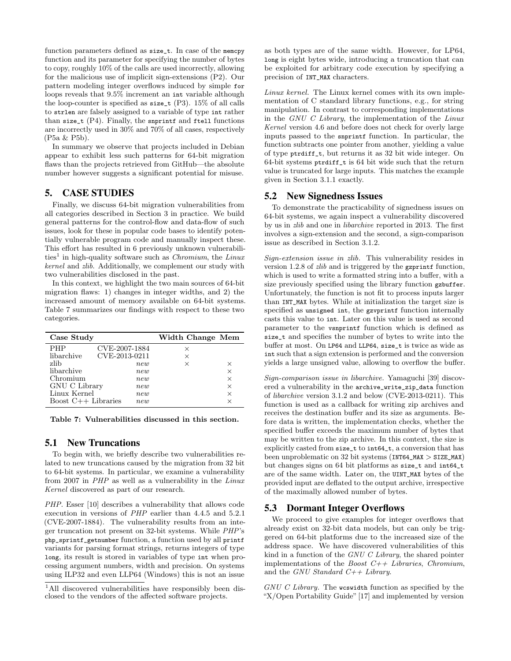function parameters defined as size\_t. In case of the memcpy function and its parameter for specifying the number of bytes to copy, roughly 10% of the calls are used incorrectly, allowing for the malicious use of implicit sign-extensions (P2). Our pattern modeling integer overflows induced by simple for loops reveals that 9.5% increment an int variable although the loop-counter is specified as size\_t (P3). 15% of all calls to strlen are falsely assigned to a variable of type int rather than size\_t (P4). Finally, the snprintf and ftell functions are incorrectly used in 30% and 70% of all cases, respectively (P5a & P5b).

In summary we observe that projects included in Debian appear to exhibit less such patterns for 64-bit migration flaws than the projects retrieved from GitHub—the absolute number however suggests a significant potential for misuse.

## 5. CASE STUDIES

Finally, we discuss 64-bit migration vulnerabilities from all categories described in Section 3 in practice. We build general patterns for the control-flow and data-flow of such issues, look for these in popular code bases to identify potentially vulnerable program code and manually inspect these. This effort has resulted in 6 previously unknown vulnerabilities<sup>1</sup> in high-quality software such as *Chromium*, the *Linux* kernel and zlib. Additionally, we complement our study with two vulnerabilities disclosed in the past.

In this context, we highlight the two main sources of 64-bit migration flaws: 1) changes in integer widths, and 2) the increased amount of memory available on 64-bit systems. Table 7 summarizes our findings with respect to these two categories.

| Case Study            |               | Width Change Mem |          |
|-----------------------|---------------|------------------|----------|
| <b>PHP</b>            | CVE-2007-1884 | ×                |          |
| libarchive            | CVE-2013-0211 | ×                |          |
| zlih                  | new           | ×                | $\times$ |
| libarchive            | new           |                  | $\times$ |
| Chromium              | new           |                  | $\times$ |
| GNU C Library         | new           |                  | $\times$ |
| Linux Kernel          | new           |                  | X        |
| $Boost C++ Libraries$ | new           |                  | $\times$ |

Table 7: Vulnerabilities discussed in this section.

## 5.1 New Truncations

To begin with, we briefly describe two vulnerabilities related to new truncations caused by the migration from 32 bit to 64-bit systems. In particular, we examine a vulnerability from 2007 in PHP as well as a vulnerability in the Linux Kernel discovered as part of our research.

PHP. Esser [10] describes a vulnerability that allows code execution in versions of PHP earlier than 4.4.5 and 5.2.1 (CVE-2007-1884). The vulnerability results from an integer truncation not present on 32-bit systems. While PHP's php\_sprintf\_getnumber function, a function used by all printf variants for parsing format strings, returns integers of type long, its result is stored in variables of type int when processing argument numbers, width and precision. On systems using ILP32 and even LLP64 (Windows) this is not an issue

as both types are of the same width. However, for LP64, long is eight bytes wide, introducing a truncation that can be exploited for arbitrary code execution by specifying a precision of INT\_MAX characters.

Linux kernel. The Linux kernel comes with its own implementation of C standard library functions, e.g., for string manipulation. In contrast to corresponding implementations in the GNU C Library, the implementation of the Linux Kernel version 4.6 and before does not check for overly large inputs passed to the snprintf function. In particular, the function subtracts one pointer from another, yielding a value of type ptrdiff\_t, but returns it as 32 bit wide integer. On 64-bit systems ptrdiff\_t is 64 bit wide such that the return value is truncated for large inputs. This matches the example given in Section 3.1.1 exactly.

#### 5.2 New Signedness Issues

To demonstrate the practicability of signedness issues on 64-bit systems, we again inspect a vulnerability discovered by us in zlib and one in libarchive reported in 2013. The first involves a sign-extension and the second, a sign-comparison issue as described in Section 3.1.2.

Sign-extension issue in zlib. This vulnerability resides in version 1.2.8 of *zlib* and is triggered by the gzprintf function, which is used to write a formatted string into a buffer, with a size previously specified using the library function gzbuffer. Unfortunately, the function is not fit to process inputs larger than INT\_MAX bytes. While at initialization the target size is specified as unsigned int, the gzvprintf function internally casts this value to int. Later on this value is used as second parameter to the vsnprintf function which is defined as size\_t and specifies the number of bytes to write into the buffer at most. On LP64 and LLP64, size\_t is twice as wide as int such that a sign extension is performed and the conversion yields a large unsigned value, allowing to overflow the buffer.

Sign-comparison issue in libarchive. Yamaguchi [39] discovered a vulnerability in the archive\_write\_zip\_data function of libarchive version 3.1.2 and below (CVE-2013-0211). This function is used as a callback for writing zip archives and receives the destination buffer and its size as arguments. Before data is written, the implementation checks, whether the specified buffer exceeds the maximum number of bytes that may be written to the zip archive. In this context, the size is explicitly casted from size\_t to int64\_t, a conversion that has been unproblematic on 32 bit systems (INT64\_MAX > SIZE\_MAX) but changes signs on 64 bit platforms as size\_t and int64\_t are of the same width. Later on, the UINT\_MAX bytes of the provided input are deflated to the output archive, irrespective of the maximally allowed number of bytes.

## 5.3 Dormant Integer Overflows

We proceed to give examples for integer overflows that already exist on 32-bit data models, but can only be triggered on 64-bit platforms due to the increased size of the address space. We have discovered vulnerabilities of this kind in a function of the GNU C Library, the shared pointer implementations of the *Boost C++ Libraries*, *Chromium*, and the GNU Standard  $C_{++}$  Library.

GNU C Library. The wcswidth function as specified by the "X/Open Portability Guide" [17] and implemented by version

<sup>&</sup>lt;sup>1</sup>All discovered vulnerabilities have responsibly been disclosed to the vendors of the affected software projects.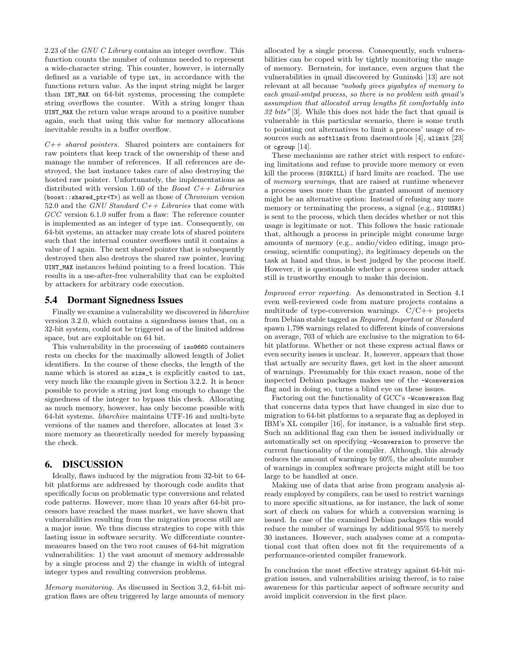2.23 of the GNU C Library contains an integer overflow. This function counts the number of columns needed to represent a wide-character string. This counter, however, is internally defined as a variable of type int, in accordance with the functions return value. As the input string might be larger than INT\_MAX on 64-bit systems, processing the complete string overflows the counter. With a string longer than UINT\_MAX the return value wraps around to a positive number again, such that using this value for memory allocations inevitable results in a buffer overflow.

 $C++$  shared pointers. Shared pointers are containers for raw pointers that keep track of the ownership of these and manage the number of references. If all references are destroyed, the last instance takes care of also destroying the hosted raw pointer. Unfortunately, the implementations as distributed with version 1.60 of the *Boost C++ Libraries* (boost::shared\_ptr<T>) as well as those of  $Chromium$  version 52.0 and the GNU Standard  $C++$  Libraries that come with GCC version 6.1.0 suffer from a flaw: The reference counter is implemented as an integer of type int. Consequently, on 64-bit systems, an attacker may create lots of shared pointers such that the internal counter overflows until it contains a value of 1 again. The next shared pointer that is subsequently destroyed then also destroys the shared raw pointer, leaving UINT\_MAX instances behind pointing to a freed location. This results in a use-after-free vulnerability that can be exploited by attackers for arbitrary code execution.

## 5.4 Dormant Signedness Issues

Finally we examine a vulnerability we discovered in libarchive version 3.2.0, which contains a signedness issues that, on a 32-bit system, could not be triggered as of the limited address space, but are exploitable on 64 bit.

This vulnerability in the processing of iso9660 containers rests on checks for the maximally allowed length of Joliet identifiers. In the course of these checks, the length of the name which is stored as size\_t is explicitly casted to int, very much like the example given in Section 3.2.2. It is hence possible to provide a string just long enough to change the signedness of the integer to bypass this check. Allocating as much memory, however, has only become possible with 64-bit systems. libarchive maintains UTF-16 and multi-byte versions of the names and therefore, allocates at least 3× more memory as theoretically needed for merely bypassing the check.

## 6. DISCUSSION

Ideally, flaws induced by the migration from 32-bit to 64 bit platforms are addressed by thorough code audits that specifically focus on problematic type conversions and related code patterns. However, more than 10 years after 64-bit processors have reached the mass market, we have shown that vulnerabilities resulting from the migration process still are a major issue. We thus discuss strategies to cope with this lasting issue in software security. We differentiate countermeasures based on the two root causes of 64-bit migration vulnerabilities: 1) the vast amount of memory addressable by a single process and 2) the change in width of integral integer types and resulting conversion problems.

Memory monitoring. As discussed in Section 3.2, 64-bit migration flaws are often triggered by large amounts of memory

allocated by a single process. Consequently, such vulnerabilities can be coped with by tightly monitoring the usage of memory. Bernstein, for instance, even argues that the vulnerabilities in qmail discovered by Guninski [13] are not relevant at all because "nobody gives gigabytes of memory to each qmail-smtpd process, so there is no problem with qmail's assumption that allocated array lengths fit comfortably into 32 bits" [3]. While this does not hide the fact that qmail is vulnerable in this particular scenario, there is some truth to pointing out alternatives to limit a process' usage of resources such as softlimit from daemontools [4], ulimit [23] or cgroup [14].

These mechanisms are rather strict with respect to enforcing limitations and refuse to provide more memory or even kill the process (SIGKILL) if hard limits are reached. The use of memory warnings, that are raised at runtime whenever a process uses more than the granted amount of memory might be an alternative option: Instead of refusing any more memory or terminating the process, a signal (e.g., SIGUSR1) is sent to the process, which then decides whether or not this usage is legitimate or not. This follows the basic rationale that, although a process in principle might consume large amounts of memory (e.g., audio/video editing, image processing, scientific computing), its legitimacy depends on the task at hand and thus, is best judged by the process itself. However, it is questionable whether a process under attack still is trustworthy enough to make this decision.

Improved error reporting. As demonstrated in Section 4.1 even well-reviewed code from mature projects contains a multitude of type-conversion warnings.  $C/C++$  projects from Debian stable tagged as Required, Important or Standard spawn 1,798 warnings related to different kinds of conversions on average, 703 of which are exclusive to the migration to 64 bit platforms. Whether or not these express actual flaws or even security issues is unclear. It, however, appears that those that actually are security flaws, get lost in the sheer amount of warnings. Presumably for this exact reason, none of the inspected Debian packages makes use of the -Wconversion flag and in doing so, turns a blind eye on these issues.

Factoring out the functionality of GCC's -Wconversion flag that concerns data types that have changed in size due to migration to 64-bit platforms to a separate flag as deployed in IBM's XL compiler [16], for instance, is a valuable first step. Such an additional flag can then be issued individually or automatically set on specifying -Wconversion to preserve the current functionality of the compiler. Although, this already reduces the amount of warnings by 60%, the absolute number of warnings in complex software projects might still be too large to be handled at once.

Making use of data that arise from program analysis already employed by compilers, can be used to restrict warnings to more specific situations, as for instance, the lack of some sort of check on values for which a conversion warning is issued. In case of the examined Debian packages this would reduce the number of warnings by additional 95% to merely 30 instances. However, such analyses come at a computational cost that often does not fit the requirements of a performance-oriented compiler framework.

In conclusion the most effective strategy against 64-bit migration issues, and vulnerabilities arising thereof, is to raise awareness for this particular aspect of software security and avoid implicit conversion in the first place.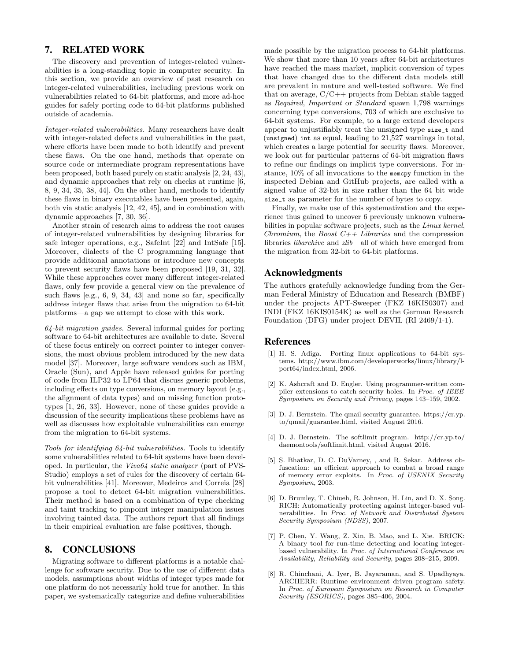## 7. RELATED WORK

The discovery and prevention of integer-related vulnerabilities is a long-standing topic in computer security. In this section, we provide an overview of past research on integer-related vulnerabilities, including previous work on vulnerabilities related to 64-bit platforms, and more ad-hoc guides for safely porting code to 64-bit platforms published outside of academia.

Integer-related vulnerabilities. Many researchers have dealt with integer-related defects and vulnerabilities in the past, where efforts have been made to both identify and prevent these flaws. On the one hand, methods that operate on source code or intermediate program representations have been proposed, both based purely on static analysis [2, 24, 43], and dynamic approaches that rely on checks at runtime [6, 8, 9, 34, 35, 38, 44]. On the other hand, methods to identify these flaws in binary executables have been presented, again, both via static analysis [12, 42, 45], and in combination with dynamic approaches [7, 30, 36].

Another strain of research aims to address the root causes of integer-related vulnerabilities by designing libraries for safe integer operations, e.g., SafeInt [22] and IntSafe [15]. Moreover, dialects of the C programming language that provide additional annotations or introduce new concepts to prevent security flaws have been proposed [19, 31, 32]. While these approaches cover many different integer-related flaws, only few provide a general view on the prevalence of such flaws [e.g., 6, 9, 34, 43] and none so far, specifically address integer flaws that arise from the migration to 64-bit platforms—a gap we attempt to close with this work.

 $64$ -bit migration guides. Several informal guides for porting software to 64-bit architectures are available to date. Several of these focus entirely on correct pointer to integer conversions, the most obvious problem introduced by the new data model [37]. Moreover, large software vendors such as IBM, Oracle (Sun), and Apple have released guides for porting of code from ILP32 to LP64 that discuss generic problems, including effects on type conversions, on memory layout (e.g., the alignment of data types) and on missing function prototypes [1, 26, 33]. However, none of these guides provide a discussion of the security implications these problems have as well as discusses how exploitable vulnerabilities can emerge from the migration to 64-bit systems.

Tools for identifying 64-bit vulnerabilities. Tools to identify some vulnerabilities related to 64-bit systems have been developed. In particular, the Viva64 static analyzer (part of PVS-Studio) employs a set of rules for the discovery of certain 64 bit vulnerabilities [41]. Moreover, Medeiros and Correia [28] propose a tool to detect 64-bit migration vulnerabilities. Their method is based on a combination of type checking and taint tracking to pinpoint integer manipulation issues involving tainted data. The authors report that all findings in their empirical evaluation are false positives, though.

## 8. CONCLUSIONS

Migrating software to different platforms is a notable challenge for software security. Due to the use of different data models, assumptions about widths of integer types made for one platform do not necessarily hold true for another. In this paper, we systematically categorize and define vulnerabilities

made possible by the migration process to 64-bit platforms. We show that more than 10 years after 64-bit architectures have reached the mass market, implicit conversion of types that have changed due to the different data models still are prevalent in mature and well-tested software. We find that on average,  $C/C++$  projects from Debian stable tagged as Required, Important or Standard spawn 1,798 warnings concerning type conversions, 703 of which are exclusive to 64-bit systems. For example, to a large extend developers appear to unjustifiably treat the unsigned type size\_t and (unsigned) int as equal, leading to 21,527 warnings in total, which creates a large potential for security flaws. Moreover, we look out for particular patterns of 64-bit migration flaws to refine our findings on implicit type conversions. For instance, 10% of all invocations to the memcpy function in the inspected Debian and GitHub projects, are called with a signed value of 32-bit in size rather than the 64 bit wide size\_t as parameter for the number of bytes to copy.

Finally, we make use of this systematization and the experience thus gained to uncover 6 previously unknown vulnerabilities in popular software projects, such as the Linux kernel, Chromium, the Boost  $C++$  Libraries and the compression libraries libarchive and zlib—all of which have emerged from the migration from 32-bit to 64-bit platforms.

## Acknowledgments

The authors gratefully acknowledge funding from the German Federal Ministry of Education and Research (BMBF) under the projects APT-Sweeper (FKZ 16KIS0307) and INDI (FKZ 16KIS0154K) as well as the German Research Foundation (DFG) under project DEVIL (RI 2469/1-1).

## References

- [1] H. S. Adiga. Porting linux applications to 64-bit systems. http://www.ibm.com/developerworks/linux/library/lport64/index.html, 2006.
- [2] K. Ashcraft and D. Engler. Using programmer-written compiler extensions to catch security holes. In Proc. of IEEE Symposium on Security and Privacy, pages 143–159, 2002.
- [3] D. J. Bernstein. The qmail security guarantee. https://cr.yp. to/qmail/guarantee.html, visited August 2016.
- [4] D. J. Bernstein. The softlimit program. http://cr.yp.to/ daemontools/softlimit.html, visited August 2016.
- [5] S. Bhatkar, D. C. DuVarney, , and R. Sekar. Address obfuscation: an efficient approach to combat a broad range of memory error exploits. In Proc. of USENIX Security Symposium, 2003.
- [6] D. Brumley, T. Chiueh, R. Johnson, H. Lin, and D. X. Song. RICH: Automatically protecting against integer-based vulnerabilities. In Proc. of Network and Distributed System Security Symposium (NDSS), 2007.
- [7] P. Chen, Y. Wang, Z. Xin, B. Mao, and L. Xie. BRICK: A binary tool for run-time detecting and locating integerbased vulnerability. In Proc. of International Conference on Availability, Reliability and Security, pages 208–215, 2009.
- [8] R. Chinchani, A. Iyer, B. Jayaraman, and S. Upadhyaya. ARCHERR: Runtime environment driven program safety. In Proc. of European Symposium on Research in Computer Security (ESORICS), pages 385–406, 2004.